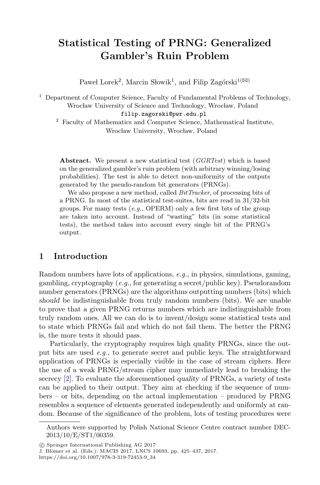# **Statistical Testing of PRNG: Generalized Gambler's Ruin Problem**

Paweł Lorek<sup>2</sup>, Marcin Słowik<sup>1</sup>, and Filip Zagórski<sup>1( $\boxtimes$ )</sup>

<sup>1</sup> Department of Computer Science, Faculty of Fundamental Problems of Technology, Wrocław University of Science and Technology, Wrocław, Poland filip.zagorski@pwr.edu.pl

<sup>2</sup> Faculty of Mathematics and Computer Science, Mathematical Institute, Wrocław University, Wrocław, Poland

**Abstract.** We present a new statistical test (*GGRTest*) which is based on the generalized gambler's ruin problem (with arbitrary winning/losing probabilities). The test is able to detect non-uniformity of the outputs generated by the pseudo-random bit generators (PRNGs).

We also propose a new method, called *BitTracker*, of processing bits of a PRNG. In most of the statistical test-suites, bits are read in 31/32-bit groups. For many tests (*e.g.,* OPERM) only a few first bits of the group are taken into account. Instead of "wasting" bits (in some statistical tests), the method takes into account every single bit of the PRNG's output.

# **1 Introduction**

Random numbers have lots of applications, *e.g.,* in physics, simulations, gaming, gambling, cryptography (*e.g.,* for generating a secret/public key). Pseudorandom number generators (PRNGs) are the algorithms outputting numbers (bits) which *should* be indistinguishable from truly random numbers (bits). We are unable to prove that a given PRNG returns numbers which are indistinguishable from truly random ones. All we can do is to invent/design some statistical tests and to state which PRNGs fail and which do not fail them. The better the PRNG is, the more tests it should pass.

Particularly, the cryptography requires high quality PRNGs, since the output bits are used *e.g.,* to generate secret and public keys. The straightforward application of PRNGs is especially visible in the case of stream ciphers. Here the use of a weak PRNG/stream cipher may immediately lead to breaking the secrecy [\[2](#page-11-0)]. To evaluate the aforementioned *quality* of PRNGs, a variety of tests can be applied to their output. They aim at checking if the sequence of numbers – or bits, depending on the actual implementation – produced by PRNG resembles a sequence of elements generated independently and uniformly at random. Because of the significance of the problem, lots of testing procedures were

Authors were supported by Polish National Science Centre contract number DEC-2013/10/E/ST1/00359.

<sup>-</sup>c Springer International Publishing AG 2017

J. Blömer et al. (Eds.): MACIS 2017, LNCS 10693, pp. 425-437, 2017. https://doi.org/10.1007/978-3-319-72453-9\_34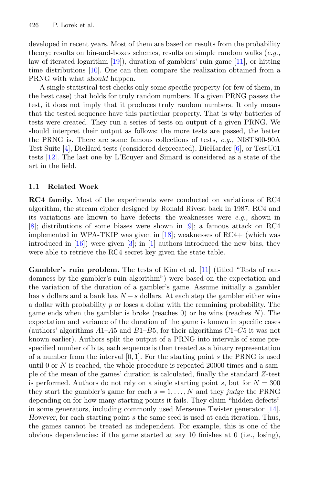developed in recent years. Most of them are based on results from the probability theory: results on bin-and-boxes schemes, results on simple random walks (*e.g.,* law of iterated logarithm [\[19\]](#page-12-0)), duration of gamblers' ruin game [\[11\]](#page-11-1), or hitting time distributions [\[10](#page-11-2)]. One can then compare the realization obtained from a PRNG with what *should* happen.

A single statistical test checks only some specific property (or few of them, in the best case) that holds for truly random numbers. If a given PRNG passes the test, it does not imply that it produces truly random numbers. It only means that the tested sequence have this particular property. That is why batteries of tests were created. They run a series of tests on output of a given PRNG. We should interpret their output as follows: the more tests are passed, the better the PRNG is. There are some famous collections of tests, *e.g.,* NIST800-90A Test Suite [\[4\]](#page-11-3), DieHard tests (considered deprecated), DieHarder [\[6](#page-11-4)], or TestU01 tests [\[12\]](#page-12-1). The last one by L'Ecuyer and Simard is considered as a state of the art in the field.

## **1.1 Related Work**

**RC4 family.** Most of the experiments were conducted on variations of RC4 algorithm, the stream cipher designed by Ronald Rivest back in 1987. RC4 and its variations are known to have defects: the weaknesses were *e.g.,* shown in [\[8](#page-11-5)]; distributions of some biases were shown in [\[9](#page-11-6)]; a famous attack on RC4 implemented in WPA-TKIP was given in [\[18](#page-12-2)]; weaknesses of RC4+ (which was introduced in  $[16]$  $[16]$ ) were given  $[3]$  $[3]$ ; in  $[1]$  $[1]$  authors introduced the new bias, they were able to retrieve the RC4 secret key given the state table.

**Gambler's ruin problem.** The tests of Kim et al. [\[11\]](#page-11-1) (titled "Tests of randomness by the gambler's ruin algorithm") were based on the expectation and the variation of the duration of a gambler's game. Assume initially a gambler has s dollars and a bank has  $N - s$  dollars. At each step the gambler either wins a dollar with probability  $p$  or loses a dollar with the remaining probability. The game ends when the gambler is broke (reaches  $0$ ) or he wins (reaches  $N$ ). The expectation and variance of the duration of the game is known in specific cases (authors' algorithms  $A1-A5$  and  $B1-B5$ , for their algorithms  $C1-C5$  it was not known earlier). Authors split the output of a PRNG into intervals of some prespecified number of bits, each sequence is then treated as a binary representation of a number from the interval  $[0, 1]$ . For the starting point s the PRNG is used until 0 or N is reached, the whole procedure is repeated 20000 times and a sample of the mean of the games' duration is calculated, finally the standard Z-test is performed. Authors do not rely on a single starting point s, but for  $N = 300$ they start the gambler's game for each  $s = 1, \ldots, N$  and they *judge* the PRNG depending on for how many starting points it fails. They claim "hidden defects" in some generators, including commonly used Mersenne Twister generator [\[14\]](#page-12-4). *However*, for each starting point s the same seed is used at each iteration. Thus, the games cannot be treated as independent. For example, this is one of the obvious dependencies: if the game started at say 10 finishes at 0 (i.e., losing),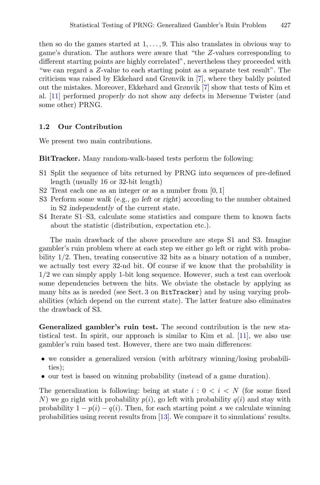then so do the games started at  $1, \ldots, 9$ . This also translates in obvious way to game's duration. The authors were aware that "the Z-values corresponding to different starting points are highly correlated", nevertheless they proceeded with "we can regard a Z-value to each starting point as a separate test result". The criticism was raised by Ekkehard and Grønvik in [\[7\]](#page-11-9), where they baldly pointed out the mistakes. Moreover, Ekkehard and Grønvik [\[7](#page-11-9)] show that tests of Kim et al. [\[11](#page-11-1)] performed *properly* do not show any defects in Mersenne Twister (and some other) PRNG.

# **1.2 Our Contribution**

We present two main contributions.

**BitTracker.** Many random-walk-based tests perform the following:

- S1 Split the sequence of bits returned by PRNG into sequences of pre-defined length (usually 16 or 32-bit length)
- S2 Treat each one as an integer or as a number from [0, 1]
- S3 Perform some *walk* (e.g., go *left* or *right*) according to the number obtained in S2 *independently* of the current state.
- S4 Iterate S1–S3, calculate some statistics and compare them to known facts about the statistic (distribution, expectation etc.).

The main drawback of the above procedure are steps S1 and S3. Imagine gambler's ruin problem where at each step we either go left or right with probability 1/2. Then, treating consecutive 32 bits as a binary notation of a number, we actually test every 32-nd bit. Of course if we know that the probability is 1/2 we can simply apply 1-bit long sequence. However, such a test can overlook some dependencies between the bits. We obviate the obstacle by applying as many bits as is needed (see Sect. [3](#page-4-0) on BitTracker) and by using varying probabilities (which depend on the current state). The latter feature also eliminates the drawback of S3.

**Generalized gambler's ruin test.** The second contribution is the new statistical test. In spirit, our approach is similar to Kim et al. [\[11\]](#page-11-1), we also use gambler's ruin based test. However, there are two main differences:

- we consider a generalized version (with arbitrary winning/losing probabilities);
- our test is based on winning probability (instead of a game duration).

The generalization is following: being at state  $i: 0 < i < N$  (for some fixed N) we go right with probability  $p(i)$ , go left with probability  $q(i)$  and stay with probability  $1 - p(i) - q(i)$ . Then, for each starting point s we calculate winning probabilities using recent results from [\[13](#page-12-5)]. We compare it to simulations' results.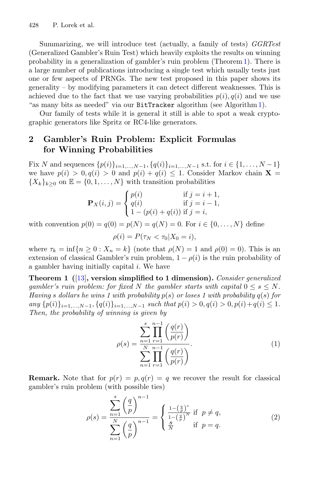Summarizing, we will introduce test (actually, a family of tests) *GGRTest* (Generalized Gambler's Ruin Test) which heavily exploits the results on winning probability in a generalization of gambler's ruin problem (Theorem [1\)](#page-3-0). There is a large number of publications introducing a single test which usually tests just one or few aspects of PRNGs. The new test proposed in this paper shows its generality – by modifying parameters it can detect different weaknesses. This is achieved due to the fact that we use varying probabilities  $p(i), q(i)$  and we use "as many bits as needed" via our BitTracker algorithm (see Algorithm [1\)](#page-4-1).

Our family of tests while it is general it still is able to spot a weak cryptographic generators like Spritz or RC4-like generators.

# **2 Gambler's Ruin Problem: Explicit Formulas for Winning Probabilities**

Fix N and sequences  $\{p(i)\}_{i=1,\dots,N-1}, \{q(i)\}_{i=1,\dots,N-1}$  s.t. for  $i \in \{1,\dots,N-1\}$ we have  $p(i) > 0, q(i) > 0$  and  $p(i) + q(i) \leq 1$ . Consider Markov chain **X** =  ${X_k}_{k>0}$  on  $\mathbb{E} = \{0, 1, \ldots, N\}$  with transition probabilities

$$
\mathbf{P}_X(i,j) = \begin{cases} p(i) & \text{if } j = i+1, \\ q(i) & \text{if } j = i-1, \\ 1 - (p(i) + q(i)) & \text{if } j = i, \end{cases}
$$

with convention  $p(0) = q(0) = p(N) = q(N) = 0$ . For  $i \in \{0, ..., N\}$  define

$$
\rho(i) = P(\tau_N < \tau_0 | X_0 = i),
$$

where  $\tau_k = \inf\{n \geq 0 : X_n = k\}$  (note that  $\rho(N) = 1$  and  $\rho(0) = 0$ ). This is an extension of classical Gambler's ruin problem,  $1 - \rho(i)$  is the ruin probability of a gambler having initially capital  $i$ . We have

<span id="page-3-0"></span>**Theorem 1 (**[\[13\]](#page-12-5)**, version simplified to 1 dimension).** *Consider generalized gambler's ruin problem: for fixed* N *the gambler starts with capital*  $0 \leq s \leq N$ *. Having* s *dollars he wins* 1 with probability  $p(s)$  or loses 1 with probability  $q(s)$  for *any*  $\{p(i)\}_{i=1,...,N-1}, \{q(i)\}_{i=1,...,N-1}$  *such that*  $p(i) > 0, q(i) > 0, p(i) + q(i) ≤ 1$ . *Then, the probability of winning is given by*

$$
\rho(s) = \frac{\sum_{n=1}^{s} \prod_{r=1}^{n-1} \left( \frac{q(r)}{p(r)} \right)}{\sum_{n=1}^{N} \prod_{r=1}^{n-1} \left( \frac{q(r)}{p(r)} \right)}.
$$
\n(1)

**Remark.** Note that for  $p(r) = p$ ,  $q(r) = q$  we recover the result for classical gambler's ruin problem (with possible ties)

$$
\rho(s) = \frac{\sum_{n=1}^{s} \left(\frac{q}{p}\right)^{n-1}}{\sum_{n=1}^{N} \left(\frac{q}{p}\right)^{n-1}} = \begin{cases} \frac{1 - \left(\frac{q}{p}\right)^s}{1 - \left(\frac{q}{p}\right)^N} & \text{if } p \neq q, \\ \frac{s}{N} & \text{if } p = q. \end{cases}
$$
\n(2)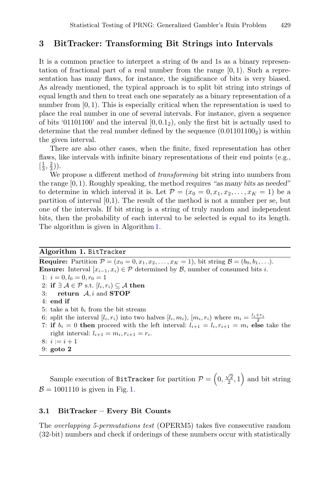# <span id="page-4-0"></span>**3 BitTracker: Transforming Bit Strings into Intervals**

It is a common practice to interpret a string of 0s and 1s as a binary representation of fractional part of a real number from the range  $[0, 1)$ . Such a representation has many flaws, for instance, the significance of bits is very biased. As already mentioned, the typical approach is to split bit string into strings of equal length and then to treat each one separately as a binary representation of a number from  $[0, 1)$ . This is especially critical when the representation is used to place the real number in one of several intervals. For instance, given a sequence of bits '01101100' and the interval  $[0, 0.1<sub>2</sub>)$ , only the first bit is actually used to determine that the real number defined by the sequence  $(0.01101100<sub>2</sub>)$  is within the given interval.

There are also other cases, when the finite, fixed representation has other flaws, like intervals with infinite binary representations of their end points (e.g.,  $\left[\frac{1}{3}, \frac{2}{3}\right)$ .

We propose a different method of *transforming* bit string into numbers from the range [0, 1). Roughly speaking, the method requires *"as many bits as needed"* to determine in which interval it is. Let  $\mathcal{P} = (x_0 = 0, x_1, x_2, \ldots, x_K = 1)$  be a partition of interval [0,1). The result of the method is not a number per se, but one of the intervals. If bit string is a string of truly random and independent bits, then the probability of each interval to be selected is equal to its length. The algorithm is given in Algorithm [1.](#page-4-1)

**Algorithm 1.** BitTracker

**Require:** Partition  $\mathcal{P} = (x_0 = 0, x_1, x_2, \ldots, x_K = 1)$ , bit string  $\mathcal{B} = (b_0, b_1, \ldots)$ . **Ensure:** Interval  $[x_{i-1}, x_i) \in \mathcal{P}$  determined by  $\mathcal{B}$ , number of consumed bits *i*. 1:  $i = 0, l_0 = 0, r_0 = 1$ 2: **if**  $\exists \mathcal{A} \in \mathcal{P}$  s.t.  $[l_i, r_i) \subseteq \mathcal{A}$  **then**<br>3: **return**  $\mathcal{A}, i$  and **STOP** return  $A, i$  and **STOP** 4: **end if** 5: take a bit b*<sup>i</sup>* from the bit stream 6: split the interval  $[l_i, r_i)$  into two halves  $[l_i, m_i)$ ,  $[m_i, r_i)$  where  $m_i = \frac{l_i + r_i}{2}$ 7: **if**  $b_i = 0$  **then** proceed with the left interval:  $l_{i+1} = l_i, r_{i+1} = m_i$  **else** take the right interval:  $l_{i+1} = m_i, r_{i+1} = r_i$ . 8:  $i := i + 1$ 

<span id="page-4-1"></span>9: **goto 2**

Sample execution of BitTracker for partition  $\mathcal{P} = \left(0, \frac{\sqrt{2}}{2}, 1\right)$  and bit string  $\mathcal{B} = 1001110$  is given in Fig. [1.](#page-5-0)

#### **3.1 BitTracker – Every Bit Counts**

The *overlapping 5-permutations test* (OPERM5) takes five consecutive random (32-bit) numbers and check if orderings of these numbers occur with statistically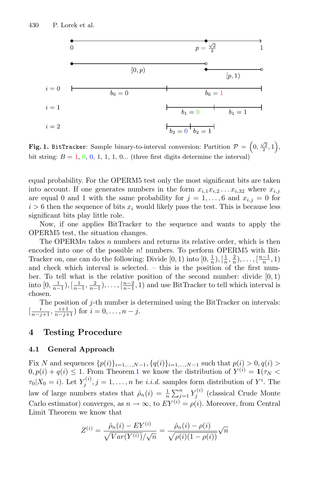

<span id="page-5-0"></span>**Fig. 1.** BitTracker: Sample binary-to-interval conversion: Partition  $\mathcal{P} = \left(0, \frac{\sqrt{2}}{2}, 1\right)$ , bit string:  $B = 1, 0, 0, 1, 1, 1, 0...$  (three first digits determine the interval)

equal probability. For the OPERM5 test only the most significant bits are taken into account. If one generates numbers in the form  $x_{i,1}x_{i,2}...x_{i,32}$  where  $x_{i,j}$ are equal 0 and 1 with the same probability for  $j = 1, \ldots, 6$  and  $x_{i,j} = 0$  for  $i > 6$  then the sequence of bits  $x_i$  would likely pass the test. This is because less significant bits play little role.

Now, if one applies BitTracker to the sequence and wants to apply the OPERM5 test, the situation changes.

The OPERMn takes  $n$  numbers and returns its relative order, which is then encoded into one of the possible  $n!$  numbers. To perform OPERM5 with Bit-Tracker on, one can do the following: Divide  $[0, 1)$  into  $[0, \frac{1}{n}), [\frac{1}{n}, \frac{2}{n}), \ldots, [\frac{n-1}{n}, 1)$ and check which interval is selected. – this is the position of the first number. To tell what is the relative position of the second number: divide  $[0, 1)$ into  $[0, \frac{1}{n-1}), [\frac{1}{n-1}, \frac{2}{n-1}), \ldots, [\frac{n-2}{n-1}, 1)$  and use BitTracker to tell which interval is chosen.

The position of j-th number is determined using the BitTracker on intervals:  $\left[\frac{i}{n-j+1}, \frac{i+1}{n-j+1}\right)$  for  $i = 0, \ldots, n-j$ .

## <span id="page-5-1"></span>**4 Testing Procedure**

#### **4.1 General Approach**

Fix N and sequences  $\{p(i)\}_{i=1,...,N-1}, \{q(i)\}_{i=1,...,N-1}$  such that  $p(i) > 0, q(i) > 0$  $0, p(i) + q(i) \leq 1$  $0, p(i) + q(i) \leq 1$ . From Theorem 1 we know the distribution of  $Y^{(i)} = \mathbf{1}(\tau_N <$  $\tau_0|X_0 = i$ ). Let  $Y_j^{(i)}$ ,  $j = 1, ..., n$  be *i.i.d.* samples form distribution of  $Y^i$ . The law of large numbers states that  $\hat{\rho}_n(i) = \frac{1}{n} \sum_{j=1}^n Y_j^{(i)}$  (classical Crude Monte Carlo estimator) converges, as  $n \to \infty$ , to  $EY^{(i)} = \rho(i)$ . Moreover, from Central Limit Theorem we know that

$$
Z^{(i)} = \frac{\hat{\rho}_n(i) - EY^{(i)}}{\sqrt{Var(Y^{(i)})}/\sqrt{n}} = \frac{\hat{\rho}_n(i) - \rho(i)}{\sqrt{\rho(i)(1 - \rho(i))}}\sqrt{n}
$$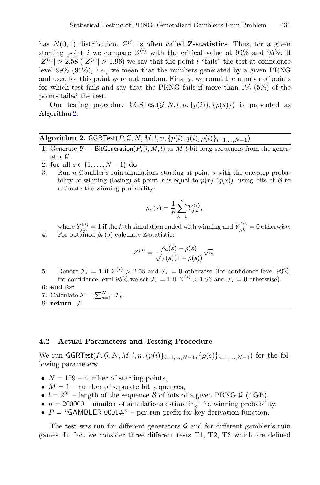has  $N(0, 1)$  distribution.  $Z^{(i)}$  is often called **Z-statistics**. Thus, for a given starting point i we compare  $Z^{(i)}$  with the critical value at 99% and 95%. If  $|Z^{(i)}| > 2.58$  ( $|Z^{(i)}| > 1.96$ ) we say that the point *i* "fails" the test at confidence level 99% (95%), *i.e.,* we mean that the numbers generated by a given PRNG and used for this point were not random. Finally, we count the number of points for which test fails and say that the PRNG fails if more than  $1\%$  (5%) of the points failed the test.

Our testing procedure  $GGRTest(\mathcal{G}, N, l, n, \{p(i)\}, \{\rho(s)\})$  is presented as Algorithm [2.](#page-6-0)

|--|

- 1: Generate  $\mathcal{B} \leftarrow$  BitGeneration $(P, \mathcal{G}, M, l)$  as M *l*-bit long sequences from the generator G.
- 2: **for all**  $s \in \{1, ..., N-1\}$  **do**<br>3: Run *n* Gambler's ruin simu
- Run n Gambler's ruin simulations starting at point s with the one-step probability of winning (losing) at point x is equal to  $p(x)$   $(q(x))$ , using bits of B to estimate the winning probability:

$$
\hat{\rho}_n(s) = \frac{1}{n} \sum_{k=1}^n Y_{j,k}^{(s)},
$$

where  $Y_{j,k}^{(s)} = 1$  if the k-th simulation ended with winning and  $Y_{j,k}^{(s)} = 0$  otherwise. 4: For obtained  $\hat{\rho}_n(s)$  calculate Z-statistic:

$$
Z^{(s)} = \frac{\hat{\rho}_n(s) - \rho(s)}{\sqrt{\rho(s)(1 - \rho(s))}}\sqrt{n}.
$$

- 5: Denote  $\mathcal{F}_s = 1$  if  $Z^{(s)} > 2.58$  and  $\mathcal{F}_s = 0$  otherwise (for confidence level 99%, for confidence level 95% we set  $\mathcal{F}_s = 1$  if  $Z^{(s)} > 1.96$  and  $\mathcal{F}_s = 0$  otherwise).
- 6: **end for**
- 7: Calculate  $\mathcal{F} = \sum_{s=1}^{N-1} \mathcal{F}_s$ .

<span id="page-6-0"></span>8: **return** F

#### **4.2 Actual Parameters and Testing Procedure**

We run  $GGRTest(P, \mathcal{G}, N, M, l, n, \{p(i)\}_{i=1,...,N-1}, \{\rho(s)\}_{s=1,...,N-1})$  for the following parameters:

- $N = 129$  number of starting points,
- $M = 1$  number of separate bit sequences,
- $l = 2^{35}$  length of the sequence  $\beta$  of bits of a given PRNG  $\mathcal{G}$  (4 GB),
- $n = 200000$  number of simulations estimating the winning probability.
- $P =$  "GAMBLER\_0001#" per-run prefix for key derivation function.

The test was run for different generators  $\mathcal G$  and for different gambler's ruin games. In fact we consider three different tests T1, T2, T3 which are defined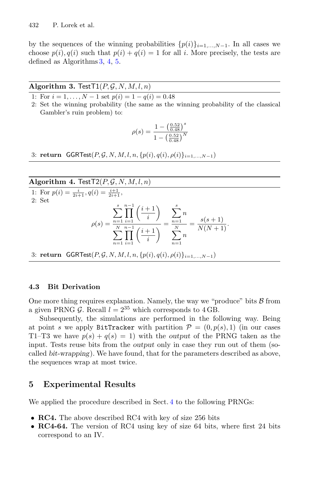by the sequences of the winning probabilities  $\{p(i)\}_{i=1,\ldots,N-1}$ . In all cases we choose  $p(i)$ ,  $q(i)$  such that  $p(i) + q(i) = 1$  for all i. More precisely, the tests are defined as Algorithms [3,](#page-7-0) [4,](#page-7-1) [5.](#page-8-0)

## <span id="page-7-0"></span>**Algorithm 3.** Test  $TI(P, \mathcal{G}, N, M, l, n)$

1: For  $i = 1, ..., N - 1$  set  $p(i) = 1 - q(i) = 0.48$ 

2: Set the winning probability (the same as the winning probability of the classical Gambler's ruin problem) to:

$$
\rho(s) = \frac{1 - \left(\frac{0.52}{0.48}\right)^s}{1 - \left(\frac{0.52}{0.48}\right)^N}
$$

3: **return**  $GGRTest(P, \mathcal{G}, N, M, l, n, \{p(i), q(i), \rho(i)\}_{i=1,...,N-1})$ 

**Algorithm 4.** Test  $T2(P, \mathcal{G}, N, M, l, n)$ 

<span id="page-7-1"></span>1: For  $p(i) = \frac{i}{2i+1}, q(i) = \frac{i+1}{2i+1},$ 

2: Set

$$
\rho(s) = \frac{\sum_{n=1}^{s} \prod_{i=1}^{n-1} \left(\frac{i+1}{i}\right)}{\sum_{n=1}^{N} \prod_{i=1}^{n-1} \left(\frac{i+1}{i}\right)} = \frac{\sum_{n=1}^{s} n}{\sum_{n=1}^{N} n} = \frac{s(s+1)}{N(N+1)}.
$$

3: **return**  $GGRTest(P, \mathcal{G}, N, M, l, n, \{p(i), q(i), \rho(i)\}_{i=1,...,N-1})$ 

## **4.3 Bit Derivation**

One more thing requires explanation. Namely, the way we "produce" bits  $\beta$  from a given PRNG G. Recall  $l = 2^{35}$  which corresponds to 4 GB.

Subsequently, the simulations are performed in the following way. Being at point s we apply BitTracker with partition  $P = (0, p(s), 1)$  (in our cases T1–T3 we have  $p(s) + q(s) = 1$ ) with the *output* of the PRNG taken as the input. Tests reuse bits from the *output* only in case they run out of them (socalled *bit-wrapping*). We have found, that for the parameters described as above, the sequences wrap at most twice.

# **5 Experimental Results**

We applied the procedure described in Sect. [4](#page-5-1) to the following PRNGs:

- **RC4.** The above described RC4 with key of size 256 bits
- **RC4-64.** The version of RC4 using key of size 64 bits, where first 24 bits correspond to an IV.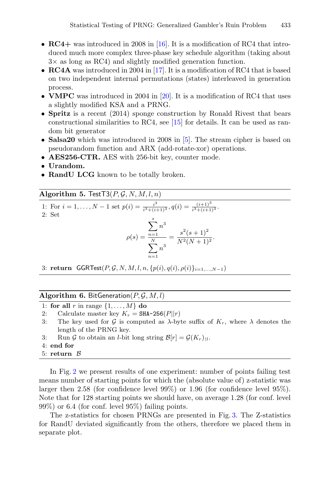- **RC4+** was introduced in 2008 in [\[16](#page-12-3)]. It is a modification of RC4 that introduced much more complex three-phase key schedule algorithm (taking about  $3\times$  as long as RC4) and slightly modified generation function.
- **RC4A** was introduced in 2004 in [\[17](#page-12-6)]. It is a modification of RC4 that is based on two independent internal permutations (states) interleaved in generation process.
- **VMPC** was introduced in 2004 in [\[20](#page-12-7)]. It is a modification of RC4 that uses a slightly modified KSA and a PRNG.
- **Spritz** is a recent (2014) sponge construction by Ronald Rivest that bears constructional similarities to RC4, see [\[15](#page-12-8)] for details. It can be used as random bit generator
- **Salsa20** which was introduced in 2008 in [\[5\]](#page-11-10). The stream cipher is based on pseudorandom function and ARX (add-rotate-xor) operations.
- **AES256-CTR.** AES with 256-bit key, counter mode.
- **Urandom.**
- **RandU LCG** known to be totally broken.

# <span id="page-8-0"></span>**Algorithm 5.** Test  $T3(P, \mathcal{G}, N, M, l, n)$

1: For  $i = 1, ..., N - 1$  set  $p(i) = \frac{i^3}{i^3 + (i+1)^3}, q(i) = \frac{(i+1)^3}{i^3 + (i+1)^3}$ . 2: Set  $\rho(s) =$  $\sum^s$ *n*=1  $n^3$  $\sum_{i=1}^{N}$ *n*=1  $n^3$  $=\frac{s^2(s+1)^2}{N^2(N+1)^2}.$ 

3: **return** GGRTest(P, G, N, M, l, n, {p(i), q(i), ρ(i)}*i*=1*,...,N*−<sup>1</sup>)

#### **Algorithm 6.** BitGeneration( $P, G, M, l$ )

1: **for all** r in range  $\{1, ..., M\}$  **do**<br>2: Calculate master key  $K_r = \text{SH}$ 

- 2: Calculate master key  $K_r = \text{SHA-256}(P||r)$ <br>3: The key used for G is computed as  $\lambda$ -by
- The key used for G is computed as  $\lambda$ -byte suffix of  $K_r$ , where  $\lambda$  denotes the length of the PRNG key.
- 3: Run  $\mathcal{G}$  to obtain an *l*-bit long string  $\mathcal{B}[r] = \mathcal{G}(K_r)_{\vert l}$ .
- 4: **end for**
- 5: **return** B

In Fig. [2](#page-9-0) we present results of one experiment: number of points failing test means number of starting points for which the (absolute value of) z-statistic was larger then 2.58 (for confidence level 99%) or 1.96 (for confidence level 95%). Note that for 128 starting points we should have, on average 1.28 (for conf. level 99%) or 6.4 (for conf. level 95%) failing points.

The z-statistics for chosen PRNGs are presented in Fig. [3.](#page-10-0) The Z-statistics for RandU deviated significantly from the others, therefore we placed them in separate plot.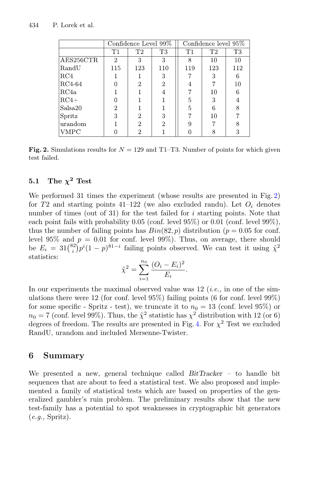|           | Confidence Level 99\% |                |                | Confidence level 95\% |     |     |
|-----------|-----------------------|----------------|----------------|-----------------------|-----|-----|
|           | T1                    | T2             | T3             | T1                    | T2  | T3  |
| AES256CTR | 2                     | 3              | 3              | 8                     | 10  | 10  |
| RandU     | 115                   | 123            | 110            | 119                   | 123 | 112 |
| RC4       |                       |                | 3              |                       | 3   | 6   |
| RC4-64    |                       | $\overline{2}$ | 2              |                       |     | 10  |
| RC4a      |                       |                |                |                       | 10  | 6   |
| $RC4+$    |                       |                |                | 5                     | 3   |     |
| Salsa20   | 2                     |                |                | 5                     | 6   | 8   |
| Spritz    | 3                     | 2              | 3              |                       | 10  |     |
| urandom   |                       | 2              | $\overline{2}$ |                       |     | 8   |
| VMPC      |                       | 2              |                |                       |     | 3   |

**Fig. 2.** Simulations results for  $N = 129$  and T1–T3. Number of points for which given test failed.

## **5.1 The** *χ***<sup>2</sup> Test**

We performed 31 times the experiment (whose results are presented in Fig. [2\)](#page-9-0) for  $T2$  and starting points  $41-122$  (we also excluded randu). Let  $O_i$  denotes number of times (out of 31) for the test failed for  $i$  starting points. Note that each point fails with probability  $0.05$  (conf. level  $95\%$ ) or  $0.01$  (conf. level  $99\%$ ), thus the number of failing points has  $Bin(82, p)$  distribution ( $p = 0.05$  for conf. level 95% and  $p = 0.01$  for conf. level 99%). Thus, on average, there should be  $E_i = 31\binom{82}{i}p^i(1-p)^{81-i}$  failing points observed. We can test it using  $\tilde{\chi}^2$ statistics:

<span id="page-9-0"></span>
$$
\tilde{\chi}^2 = \sum_{i=1}^{n_0} \frac{(O_i - E_i)^2}{E_i}.
$$

In our experiments the maximal observed value was 12 (*i.e.,* in one of the simulations there were 12 (for conf. level 95%) failing points (6 for conf. level 99%) for some specific - Spritz - test), we truncate it to  $n_0 = 13$  (conf. level 95%) or  $n_0 = 7$  (conf. level 99%). Thus, the  $\tilde{\chi}^2$  statistic has  $\chi^2$  distribution with 12 (or 6) degrees of freedom. The results are presented in Fig. [4.](#page-11-11) For  $\chi^2$  Test we excluded RandU, urandom and included Mersenne-Twister.

# **6 Summary**

We presented a new, general technique called *BitTracker* – to handle bit sequences that are about to feed a statistical test. We also proposed and implemented a family of statistical tests which are based on properties of the generalized gambler's ruin problem. The preliminary results show that the new test-family has a potential to spot weaknesses in cryptographic bit generators (*e.g.,* Spritz).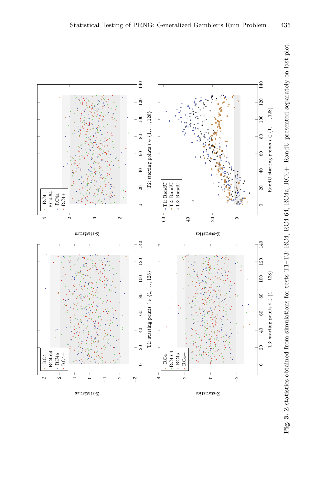

<span id="page-10-0"></span>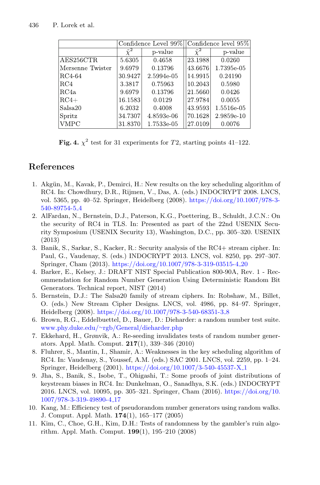|                  |         |            | Confidence Level 99% Confidence level 95% |            |  |
|------------------|---------|------------|-------------------------------------------|------------|--|
|                  |         | p-value    | $\tilde{\gamma}^2$                        | p-value    |  |
| AES256CTR        | 5.6305  | 0.4658     | 23.1988                                   | 0.0260     |  |
| Mersenne Twister | 9.6979  | 0.13796    | 43.6676                                   | 1.7395e-05 |  |
| RC4-64           | 30.9427 | 2.5994e-05 | 14.9915                                   | 0.24190    |  |
| RC4              | 3.3817  | 0.75963    | 10.2043                                   | 0.5980     |  |
| RC4a             | 9.6979  | 0.13796    | 21.5660                                   | 0.0426     |  |
| $RC4+$           | 16.1583 | 0.0129     | 27.9784                                   | 0.0055     |  |
| Salsa20          | 6.2032  | 0.4008     | 43.9593                                   | 1.5516e-05 |  |
| Spritz           | 34.7307 | 4.8593e-06 | 70.1628                                   | 2.9859e-10 |  |
| <b>VMPC</b>      | 31.8370 | 1.7533e-05 | 27.0109                                   | 0.0076     |  |

<span id="page-11-11"></span>**Fig. 4.**  $\chi^2$  test for 31 experiments for T2, starting points 41–122.

# **References**

- <span id="page-11-8"></span>1. Akgün, M., Kavak, P., Demirci, H.: New results on the key scheduling algorithm of RC4. In: Chowdhury, D.R., Rijmen, V., Das, A. (eds.) INDOCRYPT 2008. LNCS, vol. 5365, pp. 40–52. Springer, Heidelberg (2008). [https://doi.org/10.1007/978-3-](https://doi.org/10.1007/978-3-540-89754-5_4) [540-89754-5](https://doi.org/10.1007/978-3-540-89754-5_4) 4
- <span id="page-11-0"></span>2. AlFardan, N., Bernstein, D.J., Paterson, K.G., Poettering, B., Schuldt, J.C.N.: On the security of RC4 in TLS. In: Presented as part of the 22nd USENIX Security Symposium (USENIX Security 13), Washington, D.C., pp. 305–320. USENIX (2013)
- <span id="page-11-7"></span>3. Banik, S., Sarkar, S., Kacker, R.: Security analysis of the RC4+ stream cipher. In: Paul, G., Vaudenay, S. (eds.) INDOCRYPT 2013. LNCS, vol. 8250, pp. 297–307. Springer, Cham (2013). [https://doi.org/10.1007/978-3-319-03515-4](https://doi.org/10.1007/978-3-319-03515-4_20) 20
- <span id="page-11-3"></span>4. Barker, E., Kelsey, J.: DRAFT NIST Special Publication 800-90A, Rev. 1 - Recommendation for Random Number Generation Using Deterministic Random Bit Generators. Technical report, NIST (2014)
- <span id="page-11-10"></span>5. Bernstein, D.J.: The Salsa20 family of stream ciphers. In: Robshaw, M., Billet, O. (eds.) New Stream Cipher Designs. LNCS, vol. 4986, pp. 84–97. Springer, Heidelberg (2008). [https://doi.org/10.1007/978-3-540-68351-3](https://doi.org/10.1007/978-3-540-68351-3_8) 8
- <span id="page-11-4"></span>6. Brown, R.G., Eddelbuettel, D., Bauer, D.: Dieharder: a random number test suite. www.phy.duke.edu/∼[rgb/General/dieharder.php](www.phy.duke.edu/~rgb/General/dieharder.php)
- <span id="page-11-9"></span>7. Ekkehard, H., Grønvik, A.: Re-seeding invalidates tests of random number generators. Appl. Math. Comput. **217**(1), 339–346 (2010)
- <span id="page-11-5"></span>8. Fluhrer, S., Mantin, I., Shamir, A.: Weaknesses in the key scheduling algorithm of RC4. In: Vaudenay, S., Youssef, A.M. (eds.) SAC 2001. LNCS, vol. 2259, pp. 1–24. Springer, Heidelberg (2001). [https://doi.org/10.1007/3-540-45537-X](https://doi.org/10.1007/3-540-45537-X_1) 1
- <span id="page-11-6"></span>9. Jha, S., Banik, S., Isobe, T., Ohigashi, T.: Some proofs of joint distributions of keystream biases in RC4. In: Dunkelman, O., Sanadhya, S.K. (eds.) INDOCRYPT 2016. LNCS, vol. 10095, pp. 305–321. Springer, Cham (2016). [https://doi.org/10.](https://doi.org/10.1007/978-3-319-49890-4_17) [1007/978-3-319-49890-4](https://doi.org/10.1007/978-3-319-49890-4_17) 17
- <span id="page-11-2"></span>10. Kang, M.: Efficiency test of pseudorandom number generators using random walks. J. Comput. Appl. Math. **174**(1), 165–177 (2005)
- <span id="page-11-1"></span>11. Kim, C., Choe, G.H., Kim, D.H.: Tests of randomness by the gambler's ruin algorithm. Appl. Math. Comput. **199**(1), 195–210 (2008)